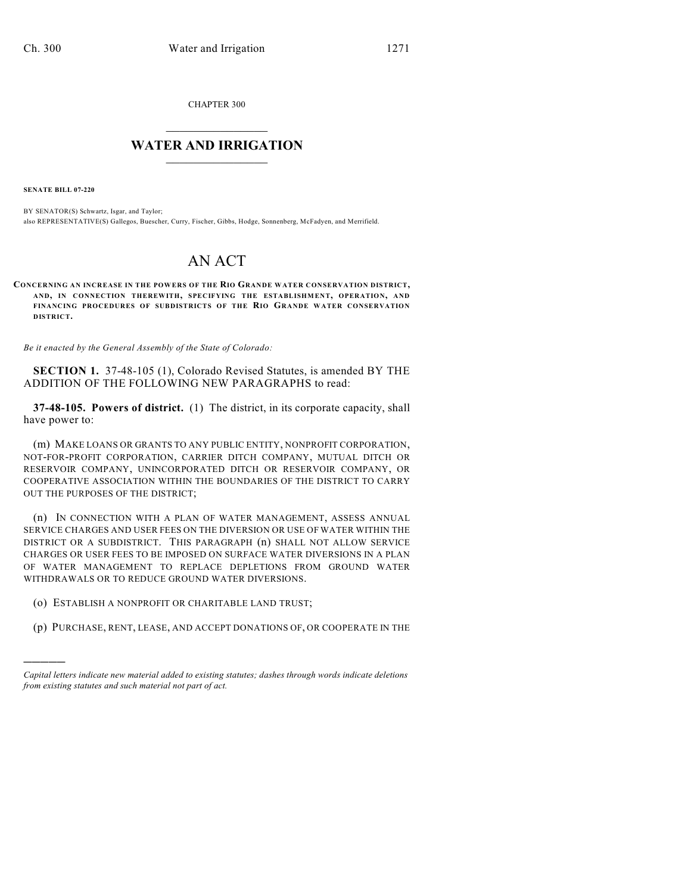CHAPTER 300

# $\mathcal{L}_\text{max}$  . The set of the set of the set of the set of the set of the set of the set of the set of the set of the set of the set of the set of the set of the set of the set of the set of the set of the set of the set **WATER AND IRRIGATION**  $\_$   $\_$

**SENATE BILL 07-220**

)))))

BY SENATOR(S) Schwartz, Isgar, and Taylor; also REPRESENTATIVE(S) Gallegos, Buescher, Curry, Fischer, Gibbs, Hodge, Sonnenberg, McFadyen, and Merrifield.

# AN ACT

**CONCERNING AN INCREASE IN THE POWERS OF THE RIO GRANDE WATER CONSERVATION DISTRICT, AND, IN CONNECTION THEREWITH, SPECIFYING THE ESTABLISHMENT, OPERATION, AND FINANCING PROCEDURES OF SUBDISTRICTS OF THE RIO GRANDE WATER CONSERVATION DISTRICT.**

*Be it enacted by the General Assembly of the State of Colorado:*

**SECTION 1.** 37-48-105 (1), Colorado Revised Statutes, is amended BY THE ADDITION OF THE FOLLOWING NEW PARAGRAPHS to read:

**37-48-105. Powers of district.** (1) The district, in its corporate capacity, shall have power to:

(m) MAKE LOANS OR GRANTS TO ANY PUBLIC ENTITY, NONPROFIT CORPORATION, NOT-FOR-PROFIT CORPORATION, CARRIER DITCH COMPANY, MUTUAL DITCH OR RESERVOIR COMPANY, UNINCORPORATED DITCH OR RESERVOIR COMPANY, OR COOPERATIVE ASSOCIATION WITHIN THE BOUNDARIES OF THE DISTRICT TO CARRY OUT THE PURPOSES OF THE DISTRICT;

(n) IN CONNECTION WITH A PLAN OF WATER MANAGEMENT, ASSESS ANNUAL SERVICE CHARGES AND USER FEES ON THE DIVERSION OR USE OF WATER WITHIN THE DISTRICT OR A SUBDISTRICT. THIS PARAGRAPH (n) SHALL NOT ALLOW SERVICE CHARGES OR USER FEES TO BE IMPOSED ON SURFACE WATER DIVERSIONS IN A PLAN OF WATER MANAGEMENT TO REPLACE DEPLETIONS FROM GROUND WATER WITHDRAWALS OR TO REDUCE GROUND WATER DIVERSIONS.

- (o) ESTABLISH A NONPROFIT OR CHARITABLE LAND TRUST;
- (p) PURCHASE, RENT, LEASE, AND ACCEPT DONATIONS OF, OR COOPERATE IN THE

*Capital letters indicate new material added to existing statutes; dashes through words indicate deletions from existing statutes and such material not part of act.*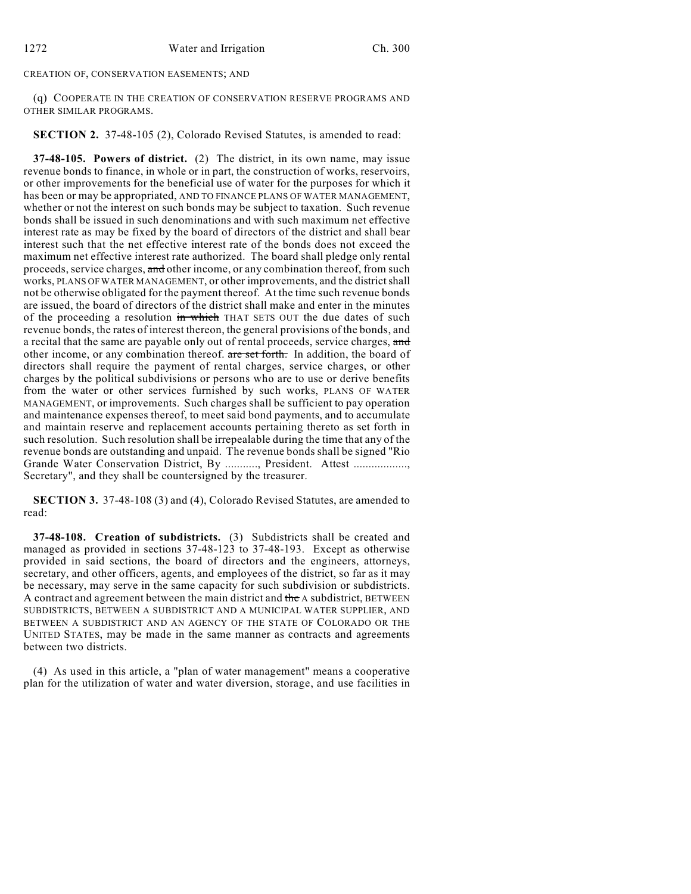## CREATION OF, CONSERVATION EASEMENTS; AND

(q) COOPERATE IN THE CREATION OF CONSERVATION RESERVE PROGRAMS AND OTHER SIMILAR PROGRAMS.

**SECTION 2.** 37-48-105 (2), Colorado Revised Statutes, is amended to read:

**37-48-105. Powers of district.** (2) The district, in its own name, may issue revenue bonds to finance, in whole or in part, the construction of works, reservoirs, or other improvements for the beneficial use of water for the purposes for which it has been or may be appropriated, AND TO FINANCE PLANS OF WATER MANAGEMENT, whether or not the interest on such bonds may be subject to taxation. Such revenue bonds shall be issued in such denominations and with such maximum net effective interest rate as may be fixed by the board of directors of the district and shall bear interest such that the net effective interest rate of the bonds does not exceed the maximum net effective interest rate authorized. The board shall pledge only rental proceeds, service charges, and other income, or any combination thereof, from such works, PLANS OF WATER MANAGEMENT, or other improvements, and the district shall not be otherwise obligated for the payment thereof. At the time such revenue bonds are issued, the board of directors of the district shall make and enter in the minutes of the proceeding a resolution in which THAT SETS OUT the due dates of such revenue bonds, the rates of interest thereon, the general provisions of the bonds, and a recital that the same are payable only out of rental proceeds, service charges, and other income, or any combination thereof. are set forth. In addition, the board of directors shall require the payment of rental charges, service charges, or other charges by the political subdivisions or persons who are to use or derive benefits from the water or other services furnished by such works, PLANS OF WATER MANAGEMENT, or improvements. Such charges shall be sufficient to pay operation and maintenance expenses thereof, to meet said bond payments, and to accumulate and maintain reserve and replacement accounts pertaining thereto as set forth in such resolution. Such resolution shall be irrepealable during the time that any of the revenue bonds are outstanding and unpaid. The revenue bonds shall be signed "Rio Grande Water Conservation District, By ..........., President. Attest ................., Secretary", and they shall be countersigned by the treasurer.

**SECTION 3.** 37-48-108 (3) and (4), Colorado Revised Statutes, are amended to read:

**37-48-108. Creation of subdistricts.** (3) Subdistricts shall be created and managed as provided in sections 37-48-123 to 37-48-193. Except as otherwise provided in said sections, the board of directors and the engineers, attorneys, secretary, and other officers, agents, and employees of the district, so far as it may be necessary, may serve in the same capacity for such subdivision or subdistricts. A contract and agreement between the main district and the A subdistrict, BETWEEN SUBDISTRICTS, BETWEEN A SUBDISTRICT AND A MUNICIPAL WATER SUPPLIER, AND BETWEEN A SUBDISTRICT AND AN AGENCY OF THE STATE OF COLORADO OR THE UNITED STATES, may be made in the same manner as contracts and agreements between two districts.

(4) As used in this article, a "plan of water management" means a cooperative plan for the utilization of water and water diversion, storage, and use facilities in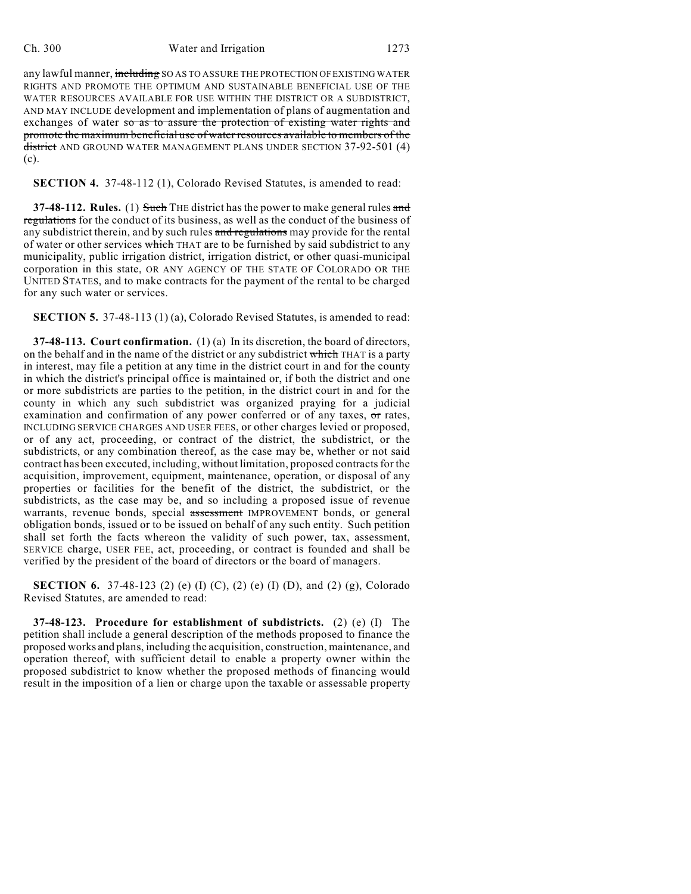### Ch. 300 Water and Irrigation 1273

any lawful manner, including SO AS TO ASSURE THE PROTECTION OF EXISTING WATER RIGHTS AND PROMOTE THE OPTIMUM AND SUSTAINABLE BENEFICIAL USE OF THE WATER RESOURCES AVAILABLE FOR USE WITHIN THE DISTRICT OR A SUBDISTRICT, AND MAY INCLUDE development and implementation of plans of augmentation and exchanges of water so as to assure the protection of existing water rights and promote the maximum beneficial use of water resources available to members of the district AND GROUND WATER MANAGEMENT PLANS UNDER SECTION 37-92-501 (4) (c).

**SECTION 4.** 37-48-112 (1), Colorado Revised Statutes, is amended to read:

**37-48-112. Rules.** (1) Such THE district has the power to make general rules and regulations for the conduct of its business, as well as the conduct of the business of any subdistrict therein, and by such rules and regulations may provide for the rental of water or other services which THAT are to be furnished by said subdistrict to any municipality, public irrigation district, irrigation district,  $\sigma$ r other quasi-municipal corporation in this state, OR ANY AGENCY OF THE STATE OF COLORADO OR THE UNITED STATES, and to make contracts for the payment of the rental to be charged for any such water or services.

**SECTION 5.** 37-48-113 (1) (a), Colorado Revised Statutes, is amended to read:

**37-48-113. Court confirmation.** (1) (a) In its discretion, the board of directors, on the behalf and in the name of the district or any subdistrict which THAT is a party in interest, may file a petition at any time in the district court in and for the county in which the district's principal office is maintained or, if both the district and one or more subdistricts are parties to the petition, in the district court in and for the county in which any such subdistrict was organized praying for a judicial examination and confirmation of any power conferred or of any taxes, or rates, INCLUDING SERVICE CHARGES AND USER FEES, or other charges levied or proposed, or of any act, proceeding, or contract of the district, the subdistrict, or the subdistricts, or any combination thereof, as the case may be, whether or not said contract has been executed, including, without limitation, proposed contracts for the acquisition, improvement, equipment, maintenance, operation, or disposal of any properties or facilities for the benefit of the district, the subdistrict, or the subdistricts, as the case may be, and so including a proposed issue of revenue warrants, revenue bonds, special assessment IMPROVEMENT bonds, or general obligation bonds, issued or to be issued on behalf of any such entity. Such petition shall set forth the facts whereon the validity of such power, tax, assessment, SERVICE charge, USER FEE, act, proceeding, or contract is founded and shall be verified by the president of the board of directors or the board of managers.

**SECTION 6.** 37-48-123 (2) (e) (I) (C), (2) (e) (I) (D), and (2) (g), Colorado Revised Statutes, are amended to read:

**37-48-123. Procedure for establishment of subdistricts.** (2) (e) (I) The petition shall include a general description of the methods proposed to finance the proposed works and plans, including the acquisition, construction, maintenance, and operation thereof, with sufficient detail to enable a property owner within the proposed subdistrict to know whether the proposed methods of financing would result in the imposition of a lien or charge upon the taxable or assessable property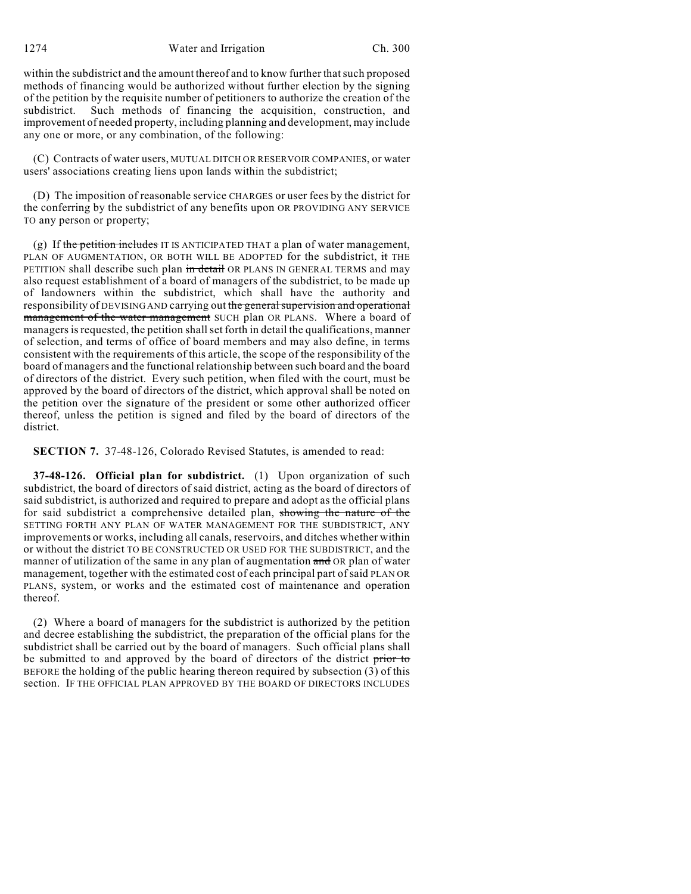within the subdistrict and the amount thereof and to know further that such proposed methods of financing would be authorized without further election by the signing of the petition by the requisite number of petitioners to authorize the creation of the subdistrict. Such methods of financing the acquisition, construction, and improvement of needed property, including planning and development, may include any one or more, or any combination, of the following:

(C) Contracts of water users, MUTUAL DITCH OR RESERVOIR COMPANIES, or water users' associations creating liens upon lands within the subdistrict;

(D) The imposition of reasonable service CHARGES or user fees by the district for the conferring by the subdistrict of any benefits upon OR PROVIDING ANY SERVICE TO any person or property;

(g) If the petition includes IT IS ANTICIPATED THAT a plan of water management, PLAN OF AUGMENTATION, OR BOTH WILL BE ADOPTED for the subdistrict, it THE PETITION shall describe such plan in detail OR PLANS IN GENERAL TERMS and may also request establishment of a board of managers of the subdistrict, to be made up of landowners within the subdistrict, which shall have the authority and responsibility of DEVISING AND carrying out the general supervision and operational management of the water management SUCH plan OR PLANS. Where a board of managers is requested, the petition shall set forth in detail the qualifications, manner of selection, and terms of office of board members and may also define, in terms consistent with the requirements of this article, the scope of the responsibility of the board of managers and the functional relationship between such board and the board of directors of the district. Every such petition, when filed with the court, must be approved by the board of directors of the district, which approval shall be noted on the petition over the signature of the president or some other authorized officer thereof, unless the petition is signed and filed by the board of directors of the district.

**SECTION 7.** 37-48-126, Colorado Revised Statutes, is amended to read:

**37-48-126. Official plan for subdistrict.** (1) Upon organization of such subdistrict, the board of directors of said district, acting as the board of directors of said subdistrict, is authorized and required to prepare and adopt as the official plans for said subdistrict a comprehensive detailed plan, showing the nature of the SETTING FORTH ANY PLAN OF WATER MANAGEMENT FOR THE SUBDISTRICT, ANY improvements or works, including all canals, reservoirs, and ditches whether within or without the district TO BE CONSTRUCTED OR USED FOR THE SUBDISTRICT, and the manner of utilization of the same in any plan of augmentation and OR plan of water management, together with the estimated cost of each principal part of said PLAN OR PLANS, system, or works and the estimated cost of maintenance and operation thereof.

(2) Where a board of managers for the subdistrict is authorized by the petition and decree establishing the subdistrict, the preparation of the official plans for the subdistrict shall be carried out by the board of managers. Such official plans shall be submitted to and approved by the board of directors of the district prior to BEFORE the holding of the public hearing thereon required by subsection (3) of this section. IF THE OFFICIAL PLAN APPROVED BY THE BOARD OF DIRECTORS INCLUDES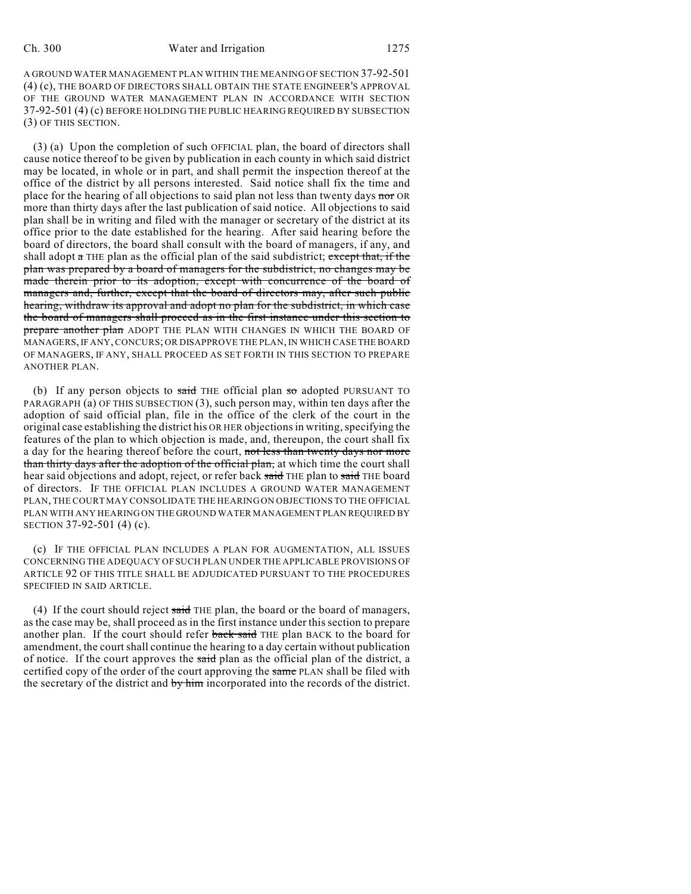A GROUND WATER MANAGEMENT PLAN WITHIN THE MEANING OF SECTION 37-92-501 (4) (c), THE BOARD OF DIRECTORS SHALL OBTAIN THE STATE ENGINEER'S APPROVAL OF THE GROUND WATER MANAGEMENT PLAN IN ACCORDANCE WITH SECTION 37-92-501 (4) (c) BEFORE HOLDING THE PUBLIC HEARING REQUIRED BY SUBSECTION (3) OF THIS SECTION.

(3) (a) Upon the completion of such OFFICIAL plan, the board of directors shall cause notice thereof to be given by publication in each county in which said district may be located, in whole or in part, and shall permit the inspection thereof at the office of the district by all persons interested. Said notice shall fix the time and place for the hearing of all objections to said plan not less than twenty days nor OR more than thirty days after the last publication of said notice. All objections to said plan shall be in writing and filed with the manager or secretary of the district at its office prior to the date established for the hearing. After said hearing before the board of directors, the board shall consult with the board of managers, if any, and shall adopt  $\alpha$  THE plan as the official plan of the said subdistrict; except that, if the plan was prepared by a board of managers for the subdistrict, no changes may be made therein prior to its adoption, except with concurrence of the board of managers and, further, except that the board of directors may, after such public hearing, withdraw its approval and adopt no plan for the subdistrict, in which case the board of managers shall proceed as in the first instance under this section to prepare another plan ADOPT THE PLAN WITH CHANGES IN WHICH THE BOARD OF MANAGERS, IF ANY, CONCURS; OR DISAPPROVE THE PLAN, IN WHICH CASE THE BOARD OF MANAGERS, IF ANY, SHALL PROCEED AS SET FORTH IN THIS SECTION TO PREPARE ANOTHER PLAN.

(b) If any person objects to said THE official plan so adopted PURSUANT TO PARAGRAPH (a) OF THIS SUBSECTION (3), such person may, within ten days after the adoption of said official plan, file in the office of the clerk of the court in the original case establishing the district his OR HER objections in writing, specifying the features of the plan to which objection is made, and, thereupon, the court shall fix a day for the hearing thereof before the court, not less than twenty days nor more than thirty days after the adoption of the official plan, at which time the court shall hear said objections and adopt, reject, or refer back said THE plan to said THE board of directors. IF THE OFFICIAL PLAN INCLUDES A GROUND WATER MANAGEMENT PLAN, THE COURT MAY CONSOLIDATE THE HEARING ON OBJECTIONS TO THE OFFICIAL PLAN WITH ANY HEARING ON THE GROUND WATER MANAGEMENT PLAN REQUIRED BY SECTION 37-92-501 (4) (c).

(c) IF THE OFFICIAL PLAN INCLUDES A PLAN FOR AUGMENTATION, ALL ISSUES CONCERNING THE ADEQUACY OF SUCH PLAN UNDER THE APPLICABLE PROVISIONS OF ARTICLE 92 OF THIS TITLE SHALL BE ADJUDICATED PURSUANT TO THE PROCEDURES SPECIFIED IN SAID ARTICLE.

(4) If the court should reject said THE plan, the board or the board of managers, as the case may be, shall proceed as in the first instance under this section to prepare another plan. If the court should refer back said THE plan BACK to the board for amendment, the court shall continue the hearing to a day certain without publication of notice. If the court approves the said plan as the official plan of the district, a certified copy of the order of the court approving the same PLAN shall be filed with the secretary of the district and by him incorporated into the records of the district.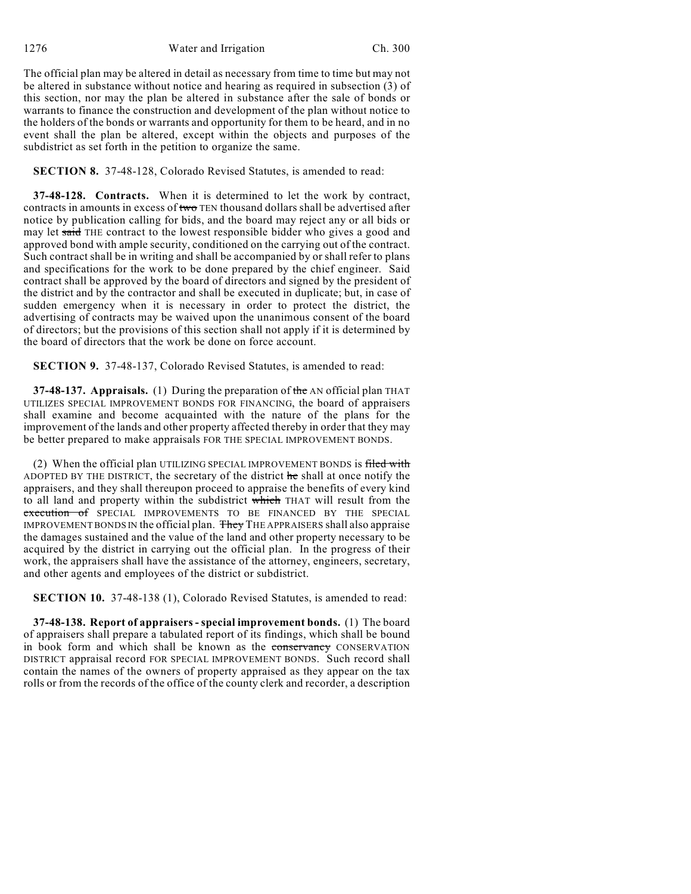The official plan may be altered in detail as necessary from time to time but may not be altered in substance without notice and hearing as required in subsection (3) of this section, nor may the plan be altered in substance after the sale of bonds or warrants to finance the construction and development of the plan without notice to the holders of the bonds or warrants and opportunity for them to be heard, and in no event shall the plan be altered, except within the objects and purposes of the subdistrict as set forth in the petition to organize the same.

**SECTION 8.** 37-48-128, Colorado Revised Statutes, is amended to read:

**37-48-128. Contracts.** When it is determined to let the work by contract, contracts in amounts in excess of two TEN thousand dollars shall be advertised after notice by publication calling for bids, and the board may reject any or all bids or may let said THE contract to the lowest responsible bidder who gives a good and approved bond with ample security, conditioned on the carrying out of the contract. Such contract shall be in writing and shall be accompanied by or shall refer to plans and specifications for the work to be done prepared by the chief engineer. Said contract shall be approved by the board of directors and signed by the president of the district and by the contractor and shall be executed in duplicate; but, in case of sudden emergency when it is necessary in order to protect the district, the advertising of contracts may be waived upon the unanimous consent of the board of directors; but the provisions of this section shall not apply if it is determined by the board of directors that the work be done on force account.

**SECTION 9.** 37-48-137, Colorado Revised Statutes, is amended to read:

**37-48-137. Appraisals.** (1) During the preparation of the AN official plan THAT UTILIZES SPECIAL IMPROVEMENT BONDS FOR FINANCING, the board of appraisers shall examine and become acquainted with the nature of the plans for the improvement of the lands and other property affected thereby in order that they may be better prepared to make appraisals FOR THE SPECIAL IMPROVEMENT BONDS.

(2) When the official plan UTILIZING SPECIAL IMPROVEMENT BONDS is filed with ADOPTED BY THE DISTRICT, the secretary of the district he shall at once notify the appraisers, and they shall thereupon proceed to appraise the benefits of every kind to all land and property within the subdistrict which THAT will result from the execution of SPECIAL IMPROVEMENTS TO BE FINANCED BY THE SPECIAL IMPROVEMENT BONDS IN the official plan. They THE APPRAISERS shall also appraise the damages sustained and the value of the land and other property necessary to be acquired by the district in carrying out the official plan. In the progress of their work, the appraisers shall have the assistance of the attorney, engineers, secretary, and other agents and employees of the district or subdistrict.

**SECTION 10.** 37-48-138 (1), Colorado Revised Statutes, is amended to read:

**37-48-138. Report of appraisers - special improvement bonds.** (1) The board of appraisers shall prepare a tabulated report of its findings, which shall be bound in book form and which shall be known as the conservancy CONSERVATION DISTRICT appraisal record FOR SPECIAL IMPROVEMENT BONDS. Such record shall contain the names of the owners of property appraised as they appear on the tax rolls or from the records of the office of the county clerk and recorder, a description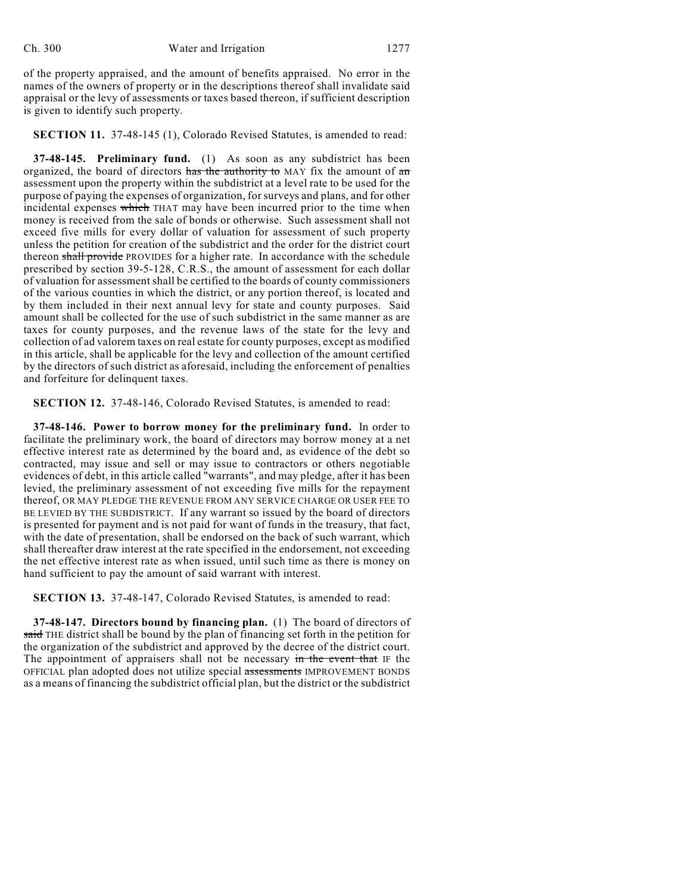of the property appraised, and the amount of benefits appraised. No error in the names of the owners of property or in the descriptions thereof shall invalidate said appraisal or the levy of assessments or taxes based thereon, if sufficient description is given to identify such property.

**SECTION 11.** 37-48-145 (1), Colorado Revised Statutes, is amended to read:

**37-48-145. Preliminary fund.** (1) As soon as any subdistrict has been organized, the board of directors has the authority to MAY fix the amount of  $a$ n assessment upon the property within the subdistrict at a level rate to be used for the purpose of paying the expenses of organization, for surveys and plans, and for other incidental expenses which THAT may have been incurred prior to the time when money is received from the sale of bonds or otherwise. Such assessment shall not exceed five mills for every dollar of valuation for assessment of such property unless the petition for creation of the subdistrict and the order for the district court thereon shall provide PROVIDES for a higher rate. In accordance with the schedule prescribed by section 39-5-128, C.R.S., the amount of assessment for each dollar of valuation for assessment shall be certified to the boards of county commissioners of the various counties in which the district, or any portion thereof, is located and by them included in their next annual levy for state and county purposes. Said amount shall be collected for the use of such subdistrict in the same manner as are taxes for county purposes, and the revenue laws of the state for the levy and collection of ad valorem taxes on real estate for county purposes, except as modified in this article, shall be applicable for the levy and collection of the amount certified by the directors of such district as aforesaid, including the enforcement of penalties and forfeiture for delinquent taxes.

**SECTION 12.** 37-48-146, Colorado Revised Statutes, is amended to read:

**37-48-146. Power to borrow money for the preliminary fund.** In order to facilitate the preliminary work, the board of directors may borrow money at a net effective interest rate as determined by the board and, as evidence of the debt so contracted, may issue and sell or may issue to contractors or others negotiable evidences of debt, in this article called "warrants", and may pledge, after it has been levied, the preliminary assessment of not exceeding five mills for the repayment thereof, OR MAY PLEDGE THE REVENUE FROM ANY SERVICE CHARGE OR USER FEE TO BE LEVIED BY THE SUBDISTRICT. If any warrant so issued by the board of directors is presented for payment and is not paid for want of funds in the treasury, that fact, with the date of presentation, shall be endorsed on the back of such warrant, which shall thereafter draw interest at the rate specified in the endorsement, not exceeding the net effective interest rate as when issued, until such time as there is money on hand sufficient to pay the amount of said warrant with interest.

**SECTION 13.** 37-48-147, Colorado Revised Statutes, is amended to read:

**37-48-147. Directors bound by financing plan.** (1) The board of directors of said THE district shall be bound by the plan of financing set forth in the petition for the organization of the subdistrict and approved by the decree of the district court. The appointment of appraisers shall not be necessary in the event that IF the OFFICIAL plan adopted does not utilize special assessments IMPROVEMENT BONDS as a means of financing the subdistrict official plan, but the district or the subdistrict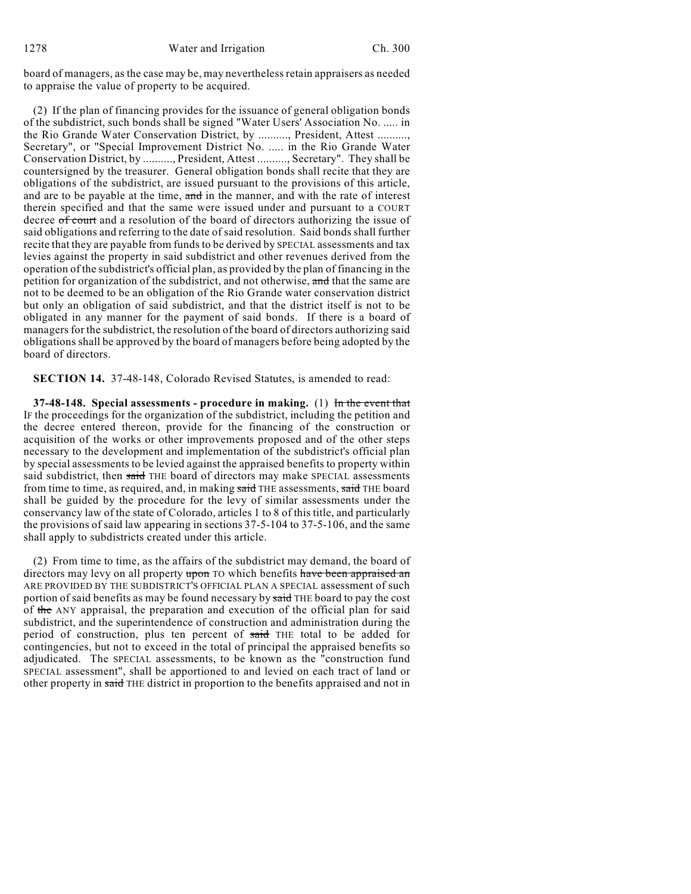board of managers, as the case may be, may nevertheless retain appraisers as needed to appraise the value of property to be acquired.

(2) If the plan of financing provides for the issuance of general obligation bonds of the subdistrict, such bonds shall be signed "Water Users' Association No. ..... in the Rio Grande Water Conservation District, by .........., President, Attest .........., Secretary", or "Special Improvement District No. ..... in the Rio Grande Water Conservation District, by .........., President, Attest .........., Secretary". They shall be countersigned by the treasurer. General obligation bonds shall recite that they are obligations of the subdistrict, are issued pursuant to the provisions of this article, and are to be payable at the time, and in the manner, and with the rate of interest therein specified and that the same were issued under and pursuant to a COURT decree of court and a resolution of the board of directors authorizing the issue of said obligations and referring to the date of said resolution. Said bonds shall further recite that they are payable from funds to be derived by SPECIAL assessments and tax levies against the property in said subdistrict and other revenues derived from the operation of the subdistrict's official plan, as provided by the plan of financing in the petition for organization of the subdistrict, and not otherwise, and that the same are not to be deemed to be an obligation of the Rio Grande water conservation district but only an obligation of said subdistrict, and that the district itself is not to be obligated in any manner for the payment of said bonds. If there is a board of managers for the subdistrict, the resolution of the board of directors authorizing said obligations shall be approved by the board of managers before being adopted by the board of directors.

**SECTION 14.** 37-48-148, Colorado Revised Statutes, is amended to read:

**37-48-148. Special assessments - procedure in making.** (1) In the event that IF the proceedings for the organization of the subdistrict, including the petition and the decree entered thereon, provide for the financing of the construction or acquisition of the works or other improvements proposed and of the other steps necessary to the development and implementation of the subdistrict's official plan by special assessments to be levied against the appraised benefits to property within said subdistrict, then said THE board of directors may make SPECIAL assessments from time to time, as required, and, in making said THE assessments, said THE board shall be guided by the procedure for the levy of similar assessments under the conservancy law of the state of Colorado, articles 1 to 8 of this title, and particularly the provisions of said law appearing in sections 37-5-104 to 37-5-106, and the same shall apply to subdistricts created under this article.

(2) From time to time, as the affairs of the subdistrict may demand, the board of directors may levy on all property upon TO which benefits have been appraised an ARE PROVIDED BY THE SUBDISTRICT'S OFFICIAL PLAN A SPECIAL assessment of such portion of said benefits as may be found necessary by said THE board to pay the cost of the ANY appraisal, the preparation and execution of the official plan for said subdistrict, and the superintendence of construction and administration during the period of construction, plus ten percent of said THE total to be added for contingencies, but not to exceed in the total of principal the appraised benefits so adjudicated. The SPECIAL assessments, to be known as the "construction fund SPECIAL assessment", shall be apportioned to and levied on each tract of land or other property in said THE district in proportion to the benefits appraised and not in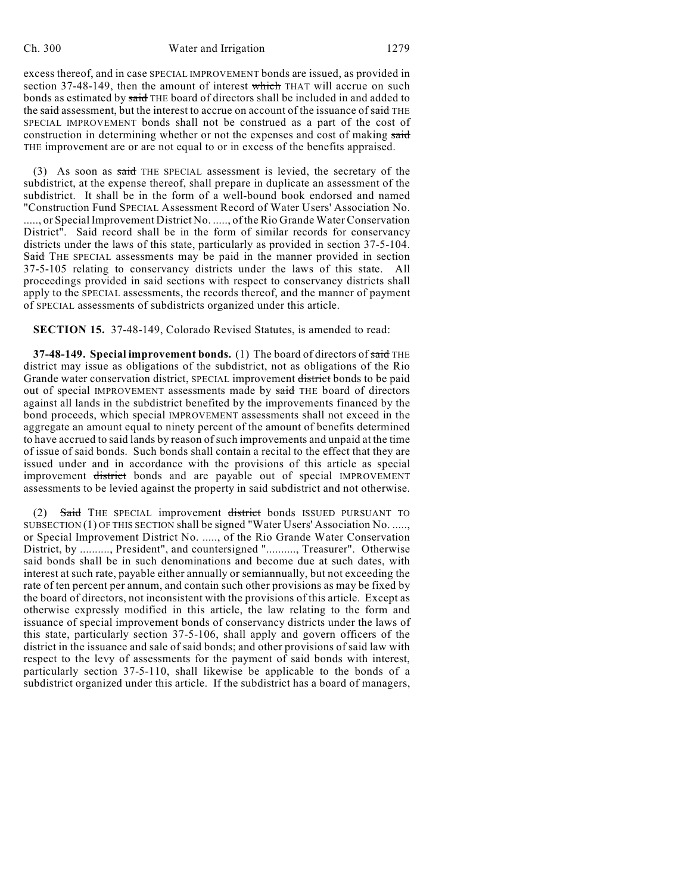excess thereof, and in case SPECIAL IMPROVEMENT bonds are issued, as provided in section 37-48-149, then the amount of interest which THAT will accrue on such bonds as estimated by said THE board of directors shall be included in and added to the said assessment, but the interest to accrue on account of the issuance of said THE SPECIAL IMPROVEMENT bonds shall not be construed as a part of the cost of construction in determining whether or not the expenses and cost of making said THE improvement are or are not equal to or in excess of the benefits appraised.

 $(3)$  As soon as said THE SPECIAL assessment is levied, the secretary of the subdistrict, at the expense thereof, shall prepare in duplicate an assessment of the subdistrict. It shall be in the form of a well-bound book endorsed and named "Construction Fund SPECIAL Assessment Record of Water Users' Association No. ....., or Special Improvement District No. ....., of the Rio Grande Water Conservation District". Said record shall be in the form of similar records for conservancy districts under the laws of this state, particularly as provided in section 37-5-104. Said THE SPECIAL assessments may be paid in the manner provided in section 37-5-105 relating to conservancy districts under the laws of this state. All proceedings provided in said sections with respect to conservancy districts shall apply to the SPECIAL assessments, the records thereof, and the manner of payment of SPECIAL assessments of subdistricts organized under this article.

**SECTION 15.** 37-48-149, Colorado Revised Statutes, is amended to read:

**37-48-149. Special improvement bonds.** (1) The board of directors of said THE district may issue as obligations of the subdistrict, not as obligations of the Rio Grande water conservation district, SPECIAL improvement district bonds to be paid out of special IMPROVEMENT assessments made by said THE board of directors against all lands in the subdistrict benefited by the improvements financed by the bond proceeds, which special IMPROVEMENT assessments shall not exceed in the aggregate an amount equal to ninety percent of the amount of benefits determined to have accrued to said lands by reason of such improvements and unpaid at the time of issue of said bonds. Such bonds shall contain a recital to the effect that they are issued under and in accordance with the provisions of this article as special improvement district bonds and are payable out of special IMPROVEMENT assessments to be levied against the property in said subdistrict and not otherwise.

(2) Said THE SPECIAL improvement district bonds ISSUED PURSUANT TO SUBSECTION (1) OF THIS SECTION shall be signed "Water Users' Association No. ....., or Special Improvement District No. ....., of the Rio Grande Water Conservation District, by .........., President", and countersigned ".........., Treasurer". Otherwise said bonds shall be in such denominations and become due at such dates, with interest at such rate, payable either annually or semiannually, but not exceeding the rate of ten percent per annum, and contain such other provisions as may be fixed by the board of directors, not inconsistent with the provisions of this article. Except as otherwise expressly modified in this article, the law relating to the form and issuance of special improvement bonds of conservancy districts under the laws of this state, particularly section 37-5-106, shall apply and govern officers of the district in the issuance and sale of said bonds; and other provisions of said law with respect to the levy of assessments for the payment of said bonds with interest, particularly section 37-5-110, shall likewise be applicable to the bonds of a subdistrict organized under this article. If the subdistrict has a board of managers,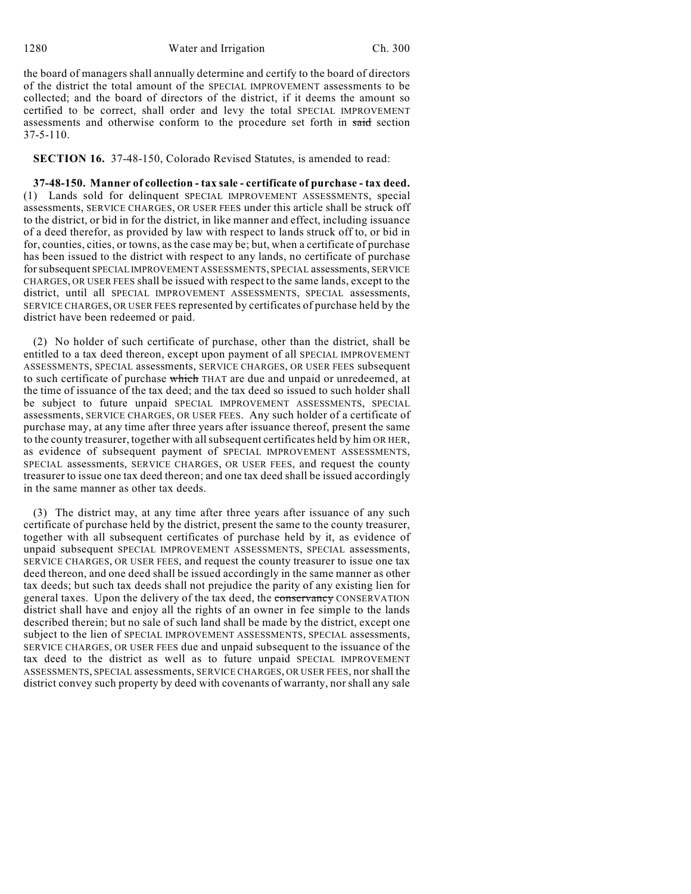the board of managers shall annually determine and certify to the board of directors of the district the total amount of the SPECIAL IMPROVEMENT assessments to be collected; and the board of directors of the district, if it deems the amount so certified to be correct, shall order and levy the total SPECIAL IMPROVEMENT assessments and otherwise conform to the procedure set forth in said section 37-5-110.

**SECTION 16.** 37-48-150, Colorado Revised Statutes, is amended to read:

**37-48-150. Manner of collection - tax sale - certificate of purchase - tax deed.** (1) Lands sold for delinquent SPECIAL IMPROVEMENT ASSESSMENTS, special assessments, SERVICE CHARGES, OR USER FEES under this article shall be struck off to the district, or bid in for the district, in like manner and effect, including issuance of a deed therefor, as provided by law with respect to lands struck off to, or bid in for, counties, cities, or towns, as the case may be; but, when a certificate of purchase has been issued to the district with respect to any lands, no certificate of purchase for subsequent SPECIAL IMPROVEMENT ASSESSMENTS, SPECIAL assessments, SERVICE CHARGES, OR USER FEES shall be issued with respect to the same lands, except to the district, until all SPECIAL IMPROVEMENT ASSESSMENTS, SPECIAL assessments, SERVICE CHARGES, OR USER FEES represented by certificates of purchase held by the district have been redeemed or paid.

(2) No holder of such certificate of purchase, other than the district, shall be entitled to a tax deed thereon, except upon payment of all SPECIAL IMPROVEMENT ASSESSMENTS, SPECIAL assessments, SERVICE CHARGES, OR USER FEES subsequent to such certificate of purchase which THAT are due and unpaid or unredeemed, at the time of issuance of the tax deed; and the tax deed so issued to such holder shall be subject to future unpaid SPECIAL IMPROVEMENT ASSESSMENTS, SPECIAL assessments, SERVICE CHARGES, OR USER FEES. Any such holder of a certificate of purchase may, at any time after three years after issuance thereof, present the same to the county treasurer, together with allsubsequent certificates held by him OR HER, as evidence of subsequent payment of SPECIAL IMPROVEMENT ASSESSMENTS, SPECIAL assessments, SERVICE CHARGES, OR USER FEES, and request the county treasurer to issue one tax deed thereon; and one tax deed shall be issued accordingly in the same manner as other tax deeds.

(3) The district may, at any time after three years after issuance of any such certificate of purchase held by the district, present the same to the county treasurer, together with all subsequent certificates of purchase held by it, as evidence of unpaid subsequent SPECIAL IMPROVEMENT ASSESSMENTS, SPECIAL assessments, SERVICE CHARGES, OR USER FEES, and request the county treasurer to issue one tax deed thereon, and one deed shall be issued accordingly in the same manner as other tax deeds; but such tax deeds shall not prejudice the parity of any existing lien for general taxes. Upon the delivery of the tax deed, the conservancy CONSERVATION district shall have and enjoy all the rights of an owner in fee simple to the lands described therein; but no sale of such land shall be made by the district, except one subject to the lien of SPECIAL IMPROVEMENT ASSESSMENTS, SPECIAL assessments, SERVICE CHARGES, OR USER FEES due and unpaid subsequent to the issuance of the tax deed to the district as well as to future unpaid SPECIAL IMPROVEMENT ASSESSMENTS, SPECIAL assessments, SERVICE CHARGES, OR USER FEES, nor shall the district convey such property by deed with covenants of warranty, nor shall any sale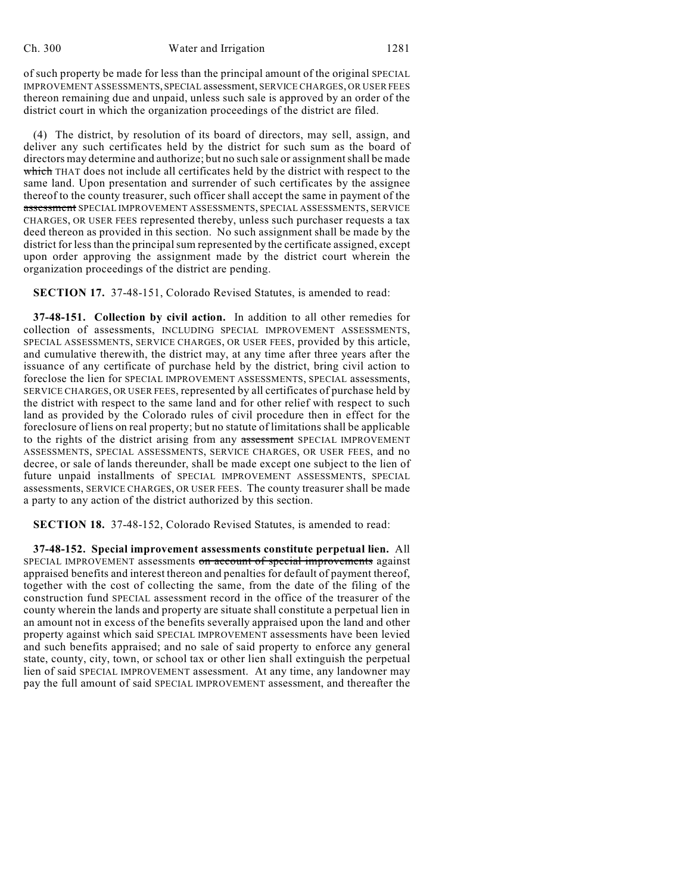of such property be made for less than the principal amount of the original SPECIAL IMPROVEMENT ASSESSMENTS, SPECIAL assessment, SERVICE CHARGES, OR USER FEES thereon remaining due and unpaid, unless such sale is approved by an order of the district court in which the organization proceedings of the district are filed.

(4) The district, by resolution of its board of directors, may sell, assign, and deliver any such certificates held by the district for such sum as the board of directors may determine and authorize; but no such sale or assignment shall be made which THAT does not include all certificates held by the district with respect to the same land. Upon presentation and surrender of such certificates by the assignee thereof to the county treasurer, such officer shall accept the same in payment of the assessment SPECIAL IMPROVEMENT ASSESSMENTS, SPECIAL ASSESSMENTS, SERVICE CHARGES, OR USER FEES represented thereby, unless such purchaser requests a tax deed thereon as provided in this section. No such assignment shall be made by the district for less than the principal sum represented by the certificate assigned, except upon order approving the assignment made by the district court wherein the organization proceedings of the district are pending.

**SECTION 17.** 37-48-151, Colorado Revised Statutes, is amended to read:

**37-48-151. Collection by civil action.** In addition to all other remedies for collection of assessments, INCLUDING SPECIAL IMPROVEMENT ASSESSMENTS, SPECIAL ASSESSMENTS, SERVICE CHARGES, OR USER FEES, provided by this article, and cumulative therewith, the district may, at any time after three years after the issuance of any certificate of purchase held by the district, bring civil action to foreclose the lien for SPECIAL IMPROVEMENT ASSESSMENTS, SPECIAL assessments, SERVICE CHARGES, OR USER FEES, represented by all certificates of purchase held by the district with respect to the same land and for other relief with respect to such land as provided by the Colorado rules of civil procedure then in effect for the foreclosure of liens on real property; but no statute of limitations shall be applicable to the rights of the district arising from any assessment SPECIAL IMPROVEMENT ASSESSMENTS, SPECIAL ASSESSMENTS, SERVICE CHARGES, OR USER FEES, and no decree, or sale of lands thereunder, shall be made except one subject to the lien of future unpaid installments of SPECIAL IMPROVEMENT ASSESSMENTS, SPECIAL assessments, SERVICE CHARGES, OR USER FEES. The county treasurer shall be made a party to any action of the district authorized by this section.

**SECTION 18.** 37-48-152, Colorado Revised Statutes, is amended to read:

**37-48-152. Special improvement assessments constitute perpetual lien.** All SPECIAL IMPROVEMENT assessments on account of special improvements against appraised benefits and interest thereon and penalties for default of payment thereof, together with the cost of collecting the same, from the date of the filing of the construction fund SPECIAL assessment record in the office of the treasurer of the county wherein the lands and property are situate shall constitute a perpetual lien in an amount not in excess of the benefits severally appraised upon the land and other property against which said SPECIAL IMPROVEMENT assessments have been levied and such benefits appraised; and no sale of said property to enforce any general state, county, city, town, or school tax or other lien shall extinguish the perpetual lien of said SPECIAL IMPROVEMENT assessment. At any time, any landowner may pay the full amount of said SPECIAL IMPROVEMENT assessment, and thereafter the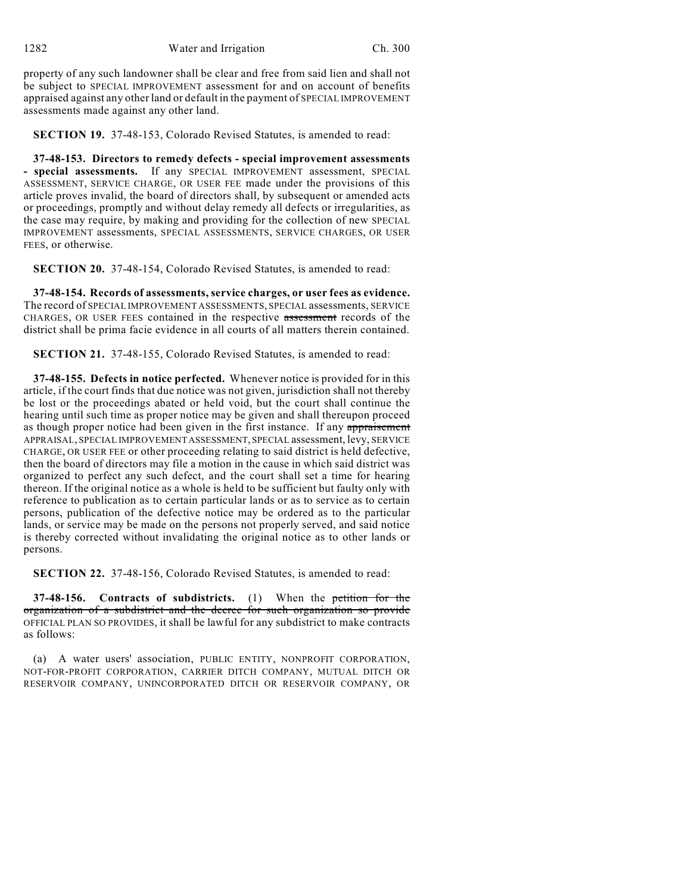property of any such landowner shall be clear and free from said lien and shall not be subject to SPECIAL IMPROVEMENT assessment for and on account of benefits appraised against any other land or default in the payment of SPECIAL IMPROVEMENT assessments made against any other land.

**SECTION 19.** 37-48-153, Colorado Revised Statutes, is amended to read:

**37-48-153. Directors to remedy defects - special improvement assessments - special assessments.** If any SPECIAL IMPROVEMENT assessment, SPECIAL ASSESSMENT, SERVICE CHARGE, OR USER FEE made under the provisions of this article proves invalid, the board of directors shall, by subsequent or amended acts or proceedings, promptly and without delay remedy all defects or irregularities, as the case may require, by making and providing for the collection of new SPECIAL IMPROVEMENT assessments, SPECIAL ASSESSMENTS, SERVICE CHARGES, OR USER FEES, or otherwise.

**SECTION 20.** 37-48-154, Colorado Revised Statutes, is amended to read:

**37-48-154. Records of assessments, service charges, or user fees as evidence.** The record of SPECIAL IMPROVEMENT ASSESSMENTS, SPECIAL assessments, SERVICE CHARGES, OR USER FEES contained in the respective assessment records of the district shall be prima facie evidence in all courts of all matters therein contained.

**SECTION 21.** 37-48-155, Colorado Revised Statutes, is amended to read:

**37-48-155. Defects in notice perfected.** Whenever notice is provided for in this article, if the court finds that due notice was not given, jurisdiction shall not thereby be lost or the proceedings abated or held void, but the court shall continue the hearing until such time as proper notice may be given and shall thereupon proceed as though proper notice had been given in the first instance. If any appraisement APPRAISAL, SPECIAL IMPROVEMENT ASSESSMENT, SPECIAL assessment, levy, SERVICE CHARGE, OR USER FEE or other proceeding relating to said district is held defective, then the board of directors may file a motion in the cause in which said district was organized to perfect any such defect, and the court shall set a time for hearing thereon. If the original notice as a whole is held to be sufficient but faulty only with reference to publication as to certain particular lands or as to service as to certain persons, publication of the defective notice may be ordered as to the particular lands, or service may be made on the persons not properly served, and said notice is thereby corrected without invalidating the original notice as to other lands or persons.

**SECTION 22.** 37-48-156, Colorado Revised Statutes, is amended to read:

**37-48-156. Contracts of subdistricts.** (1) When the petition for the organization of a subdistrict and the decree for such organization so provide OFFICIAL PLAN SO PROVIDES, it shall be lawful for any subdistrict to make contracts as follows:

(a) A water users' association, PUBLIC ENTITY, NONPROFIT CORPORATION, NOT-FOR-PROFIT CORPORATION, CARRIER DITCH COMPANY, MUTUAL DITCH OR RESERVOIR COMPANY, UNINCORPORATED DITCH OR RESERVOIR COMPANY, OR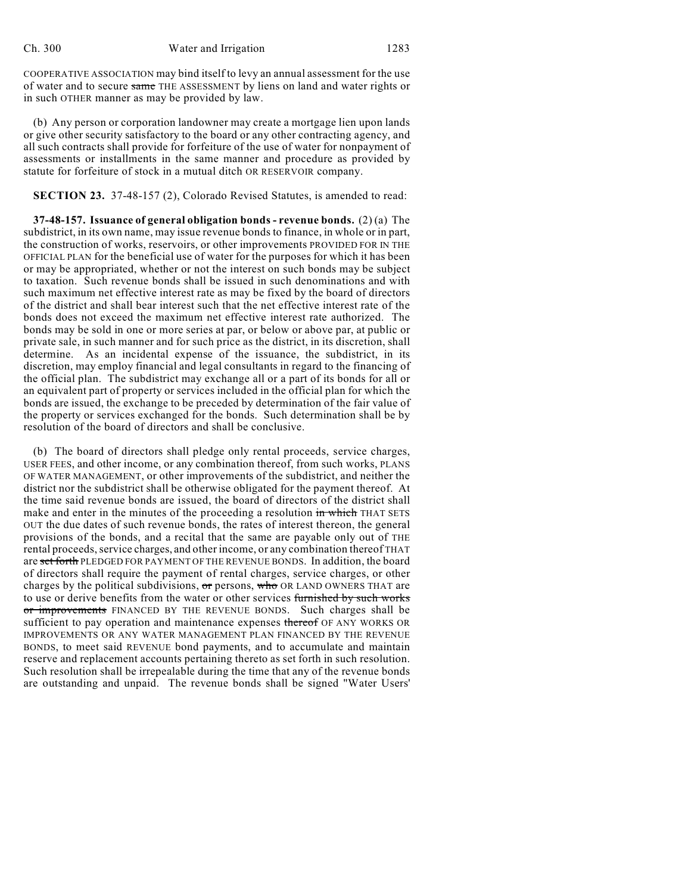COOPERATIVE ASSOCIATION may bind itself to levy an annual assessment for the use of water and to secure same THE ASSESSMENT by liens on land and water rights or in such OTHER manner as may be provided by law.

(b) Any person or corporation landowner may create a mortgage lien upon lands or give other security satisfactory to the board or any other contracting agency, and all such contracts shall provide for forfeiture of the use of water for nonpayment of assessments or installments in the same manner and procedure as provided by statute for forfeiture of stock in a mutual ditch OR RESERVOIR company.

**SECTION 23.** 37-48-157 (2), Colorado Revised Statutes, is amended to read:

**37-48-157. Issuance of general obligation bonds - revenue bonds.** (2) (a) The subdistrict, in its own name, may issue revenue bonds to finance, in whole or in part, the construction of works, reservoirs, or other improvements PROVIDED FOR IN THE OFFICIAL PLAN for the beneficial use of water for the purposes for which it has been or may be appropriated, whether or not the interest on such bonds may be subject to taxation. Such revenue bonds shall be issued in such denominations and with such maximum net effective interest rate as may be fixed by the board of directors of the district and shall bear interest such that the net effective interest rate of the bonds does not exceed the maximum net effective interest rate authorized. The bonds may be sold in one or more series at par, or below or above par, at public or private sale, in such manner and for such price as the district, in its discretion, shall determine. As an incidental expense of the issuance, the subdistrict, in its discretion, may employ financial and legal consultants in regard to the financing of the official plan. The subdistrict may exchange all or a part of its bonds for all or an equivalent part of property or services included in the official plan for which the bonds are issued, the exchange to be preceded by determination of the fair value of the property or services exchanged for the bonds. Such determination shall be by resolution of the board of directors and shall be conclusive.

(b) The board of directors shall pledge only rental proceeds, service charges, USER FEES, and other income, or any combination thereof, from such works, PLANS OF WATER MANAGEMENT, or other improvements of the subdistrict, and neither the district nor the subdistrict shall be otherwise obligated for the payment thereof. At the time said revenue bonds are issued, the board of directors of the district shall make and enter in the minutes of the proceeding a resolution in which THAT SETS OUT the due dates of such revenue bonds, the rates of interest thereon, the general provisions of the bonds, and a recital that the same are payable only out of THE rental proceeds, service charges, and other income, or any combination thereof THAT are set forth PLEDGED FOR PAYMENT OF THE REVENUE BONDS. In addition, the board of directors shall require the payment of rental charges, service charges, or other charges by the political subdivisions,  $or$  persons,  $w$ ho OR LAND OWNERS THAT are to use or derive benefits from the water or other services furnished by such works or improvements FINANCED BY THE REVENUE BONDS. Such charges shall be sufficient to pay operation and maintenance expenses thereof OF ANY WORKS OR IMPROVEMENTS OR ANY WATER MANAGEMENT PLAN FINANCED BY THE REVENUE BONDS, to meet said REVENUE bond payments, and to accumulate and maintain reserve and replacement accounts pertaining thereto as set forth in such resolution. Such resolution shall be irrepealable during the time that any of the revenue bonds are outstanding and unpaid. The revenue bonds shall be signed "Water Users'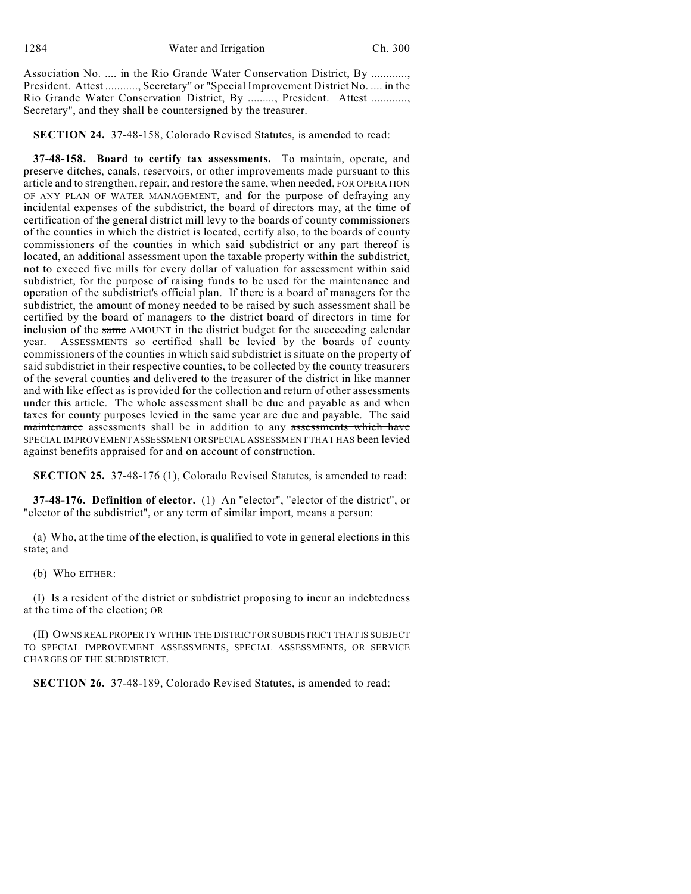Association No. .... in the Rio Grande Water Conservation District, By ............, President. Attest ..........., Secretary" or "Special Improvement District No. .... in the Rio Grande Water Conservation District, By ........., President. Attest ............, Secretary", and they shall be countersigned by the treasurer.

**SECTION 24.** 37-48-158, Colorado Revised Statutes, is amended to read:

**37-48-158. Board to certify tax assessments.** To maintain, operate, and preserve ditches, canals, reservoirs, or other improvements made pursuant to this article and to strengthen, repair, and restore the same, when needed, FOR OPERATION OF ANY PLAN OF WATER MANAGEMENT, and for the purpose of defraying any incidental expenses of the subdistrict, the board of directors may, at the time of certification of the general district mill levy to the boards of county commissioners of the counties in which the district is located, certify also, to the boards of county commissioners of the counties in which said subdistrict or any part thereof is located, an additional assessment upon the taxable property within the subdistrict, not to exceed five mills for every dollar of valuation for assessment within said subdistrict, for the purpose of raising funds to be used for the maintenance and operation of the subdistrict's official plan. If there is a board of managers for the subdistrict, the amount of money needed to be raised by such assessment shall be certified by the board of managers to the district board of directors in time for inclusion of the same AMOUNT in the district budget for the succeeding calendar year. ASSESSMENTS so certified shall be levied by the boards of county commissioners of the counties in which said subdistrict is situate on the property of said subdistrict in their respective counties, to be collected by the county treasurers of the several counties and delivered to the treasurer of the district in like manner and with like effect as is provided for the collection and return of other assessments under this article. The whole assessment shall be due and payable as and when taxes for county purposes levied in the same year are due and payable. The said maintenance assessments shall be in addition to any assessments which have SPECIAL IMPROVEMENT ASSESSMENT OR SPECIAL ASSESSMENT THAT HAS been levied against benefits appraised for and on account of construction.

**SECTION 25.** 37-48-176 (1), Colorado Revised Statutes, is amended to read:

**37-48-176. Definition of elector.** (1) An "elector", "elector of the district", or "elector of the subdistrict", or any term of similar import, means a person:

(a) Who, at the time of the election, is qualified to vote in general elections in this state; and

(b) Who EITHER:

(I) Is a resident of the district or subdistrict proposing to incur an indebtedness at the time of the election; OR

(II) OWNS REAL PROPERTY WITHIN THE DISTRICT OR SUBDISTRICT THAT IS SUBJECT TO SPECIAL IMPROVEMENT ASSESSMENTS, SPECIAL ASSESSMENTS, OR SERVICE CHARGES OF THE SUBDISTRICT.

**SECTION 26.** 37-48-189, Colorado Revised Statutes, is amended to read: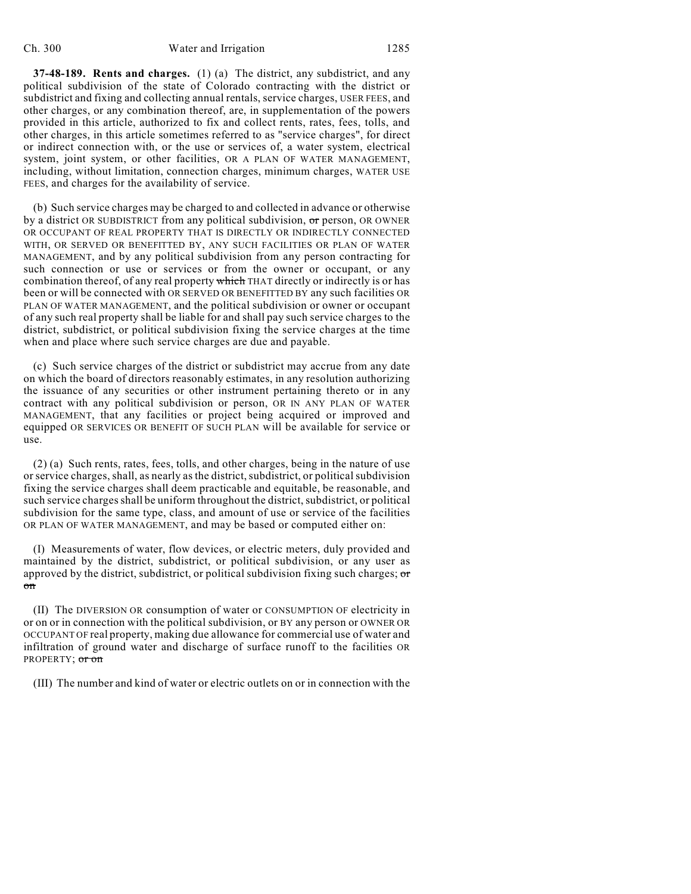**37-48-189. Rents and charges.** (1) (a) The district, any subdistrict, and any political subdivision of the state of Colorado contracting with the district or subdistrict and fixing and collecting annual rentals, service charges, USER FEES, and other charges, or any combination thereof, are, in supplementation of the powers provided in this article, authorized to fix and collect rents, rates, fees, tolls, and other charges, in this article sometimes referred to as "service charges", for direct or indirect connection with, or the use or services of, a water system, electrical system, joint system, or other facilities, OR A PLAN OF WATER MANAGEMENT, including, without limitation, connection charges, minimum charges, WATER USE FEES, and charges for the availability of service.

(b) Such service charges may be charged to and collected in advance or otherwise by a district OR SUBDISTRICT from any political subdivision, or person, OR OWNER OR OCCUPANT OF REAL PROPERTY THAT IS DIRECTLY OR INDIRECTLY CONNECTED WITH, OR SERVED OR BENEFITTED BY, ANY SUCH FACILITIES OR PLAN OF WATER MANAGEMENT, and by any political subdivision from any person contracting for such connection or use or services or from the owner or occupant, or any combination thereof, of any real property which THAT directly or indirectly is or has been or will be connected with OR SERVED OR BENEFITTED BY any such facilities OR PLAN OF WATER MANAGEMENT, and the political subdivision or owner or occupant of any such real property shall be liable for and shall pay such service charges to the district, subdistrict, or political subdivision fixing the service charges at the time when and place where such service charges are due and payable.

(c) Such service charges of the district or subdistrict may accrue from any date on which the board of directors reasonably estimates, in any resolution authorizing the issuance of any securities or other instrument pertaining thereto or in any contract with any political subdivision or person, OR IN ANY PLAN OF WATER MANAGEMENT, that any facilities or project being acquired or improved and equipped OR SERVICES OR BENEFIT OF SUCH PLAN will be available for service or use.

(2) (a) Such rents, rates, fees, tolls, and other charges, being in the nature of use or service charges, shall, as nearly as the district, subdistrict, or political subdivision fixing the service charges shall deem practicable and equitable, be reasonable, and such service chargesshall be uniform throughout the district, subdistrict, or political subdivision for the same type, class, and amount of use or service of the facilities OR PLAN OF WATER MANAGEMENT, and may be based or computed either on:

(I) Measurements of water, flow devices, or electric meters, duly provided and maintained by the district, subdistrict, or political subdivision, or any user as approved by the district, subdistrict, or political subdivision fixing such charges; or on

(II) The DIVERSION OR consumption of water or CONSUMPTION OF electricity in or on or in connection with the political subdivision, or BY any person or OWNER OR OCCUPANT OF real property, making due allowance for commercial use of water and infiltration of ground water and discharge of surface runoff to the facilities OR PROPERTY; or on

(III) The number and kind of water or electric outlets on or in connection with the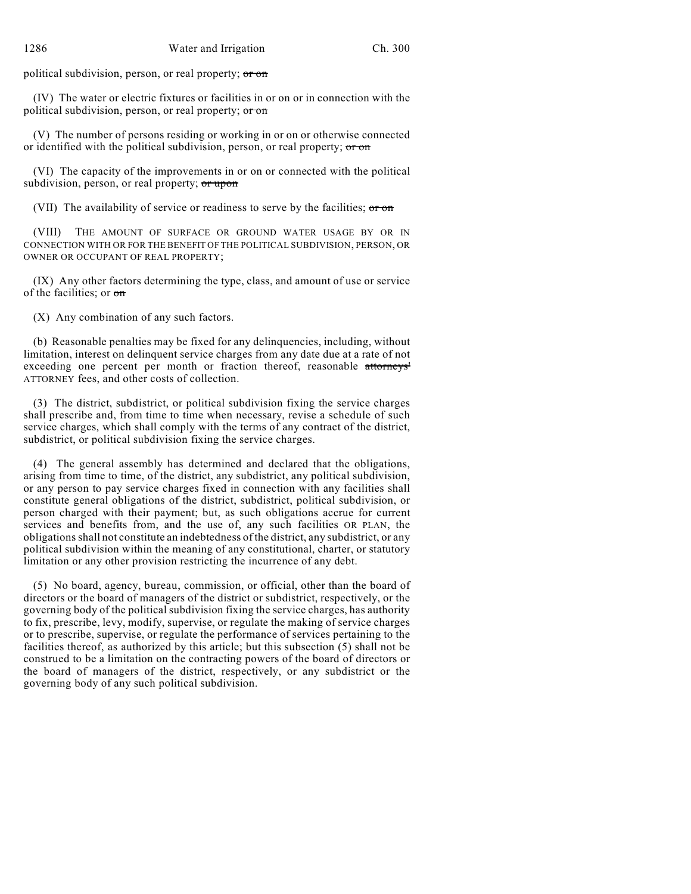political subdivision, person, or real property; or on

(IV) The water or electric fixtures or facilities in or on or in connection with the political subdivision, person, or real property; or on

(V) The number of persons residing or working in or on or otherwise connected or identified with the political subdivision, person, or real property;  $\sigma r \sigma n$ 

(VI) The capacity of the improvements in or on or connected with the political subdivision, person, or real property; or upon

(VII) The availability of service or readiness to serve by the facilities; or on

(VIII) THE AMOUNT OF SURFACE OR GROUND WATER USAGE BY OR IN CONNECTION WITH OR FOR THE BENEFIT OF THE POLITICAL SUBDIVISION, PERSON, OR OWNER OR OCCUPANT OF REAL PROPERTY;

(IX) Any other factors determining the type, class, and amount of use or service of the facilities; or on

(X) Any combination of any such factors.

(b) Reasonable penalties may be fixed for any delinquencies, including, without limitation, interest on delinquent service charges from any date due at a rate of not exceeding one percent per month or fraction thereof, reasonable attorneys' ATTORNEY fees, and other costs of collection.

(3) The district, subdistrict, or political subdivision fixing the service charges shall prescribe and, from time to time when necessary, revise a schedule of such service charges, which shall comply with the terms of any contract of the district, subdistrict, or political subdivision fixing the service charges.

(4) The general assembly has determined and declared that the obligations, arising from time to time, of the district, any subdistrict, any political subdivision, or any person to pay service charges fixed in connection with any facilities shall constitute general obligations of the district, subdistrict, political subdivision, or person charged with their payment; but, as such obligations accrue for current services and benefits from, and the use of, any such facilities OR PLAN, the obligations shall not constitute an indebtedness of the district, any subdistrict, or any political subdivision within the meaning of any constitutional, charter, or statutory limitation or any other provision restricting the incurrence of any debt.

(5) No board, agency, bureau, commission, or official, other than the board of directors or the board of managers of the district or subdistrict, respectively, or the governing body of the political subdivision fixing the service charges, has authority to fix, prescribe, levy, modify, supervise, or regulate the making of service charges or to prescribe, supervise, or regulate the performance of services pertaining to the facilities thereof, as authorized by this article; but this subsection (5) shall not be construed to be a limitation on the contracting powers of the board of directors or the board of managers of the district, respectively, or any subdistrict or the governing body of any such political subdivision.